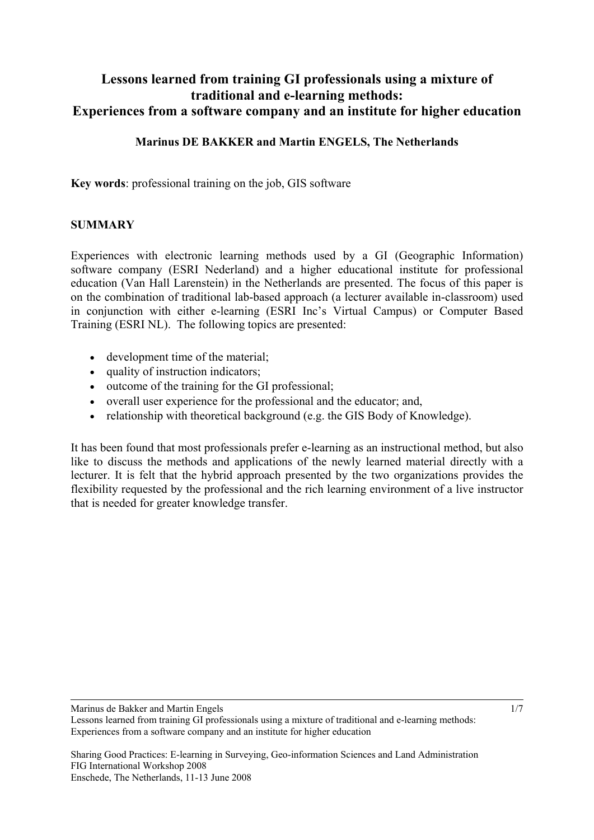# **Lessons learned from training GI professionals using a mixture of traditional and e-learning methods: Experiences from a software company and an institute for higher education**

### **Marinus DE BAKKER and Martin ENGELS, The Netherlands**

**Key words**: professional training on the job, GIS software

#### **SUMMARY**

Experiences with electronic learning methods used by a GI (Geographic Information) software company (ESRI Nederland) and a higher educational institute for professional education (Van Hall Larenstein) in the Netherlands are presented. The focus of this paper is on the combination of traditional lab-based approach (a lecturer available in-classroom) used in conjunction with either e-learning (ESRI Inc's Virtual Campus) or Computer Based Training (ESRI NL). The following topics are presented:

- development time of the material;
- quality of instruction indicators;
- outcome of the training for the GI professional;
- overall user experience for the professional and the educator; and,
- relationship with theoretical background (e.g. the GIS Body of Knowledge).

It has been found that most professionals prefer e-learning as an instructional method, but also like to discuss the methods and applications of the newly learned material directly with a lecturer. It is felt that the hybrid approach presented by the two organizations provides the flexibility requested by the professional and the rich learning environment of a live instructor that is needed for greater knowledge transfer.

Marinus de Bakker and Martin Engels

Lessons learned from training GI professionals using a mixture of traditional and e-learning methods: Experiences from a software company and an institute for higher education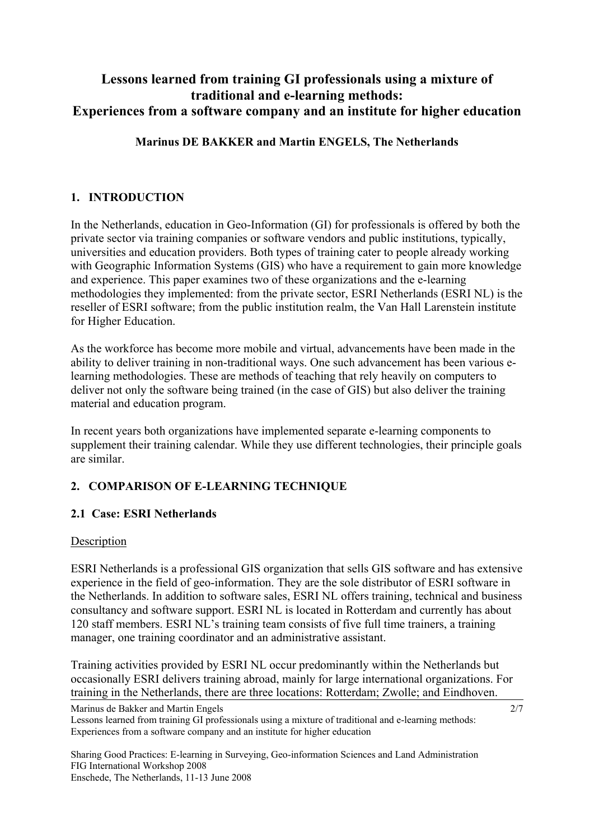# **Lessons learned from training GI professionals using a mixture of traditional and e-learning methods: Experiences from a software company and an institute for higher education**

## **Marinus DE BAKKER and Martin ENGELS, The Netherlands**

### **1. INTRODUCTION**

In the Netherlands, education in Geo-Information (GI) for professionals is offered by both the private sector via training companies or software vendors and public institutions, typically, universities and education providers. Both types of training cater to people already working with Geographic Information Systems (GIS) who have a requirement to gain more knowledge and experience. This paper examines two of these organizations and the e-learning methodologies they implemented: from the private sector, ESRI Netherlands (ESRI NL) is the reseller of ESRI software; from the public institution realm, the Van Hall Larenstein institute for Higher Education.

As the workforce has become more mobile and virtual, advancements have been made in the ability to deliver training in non-traditional ways. One such advancement has been various elearning methodologies. These are methods of teaching that rely heavily on computers to deliver not only the software being trained (in the case of GIS) but also deliver the training material and education program.

In recent years both organizations have implemented separate e-learning components to supplement their training calendar. While they use different technologies, their principle goals are similar.

# **2. COMPARISON OF E-LEARNING TECHNIQUE**

#### **2.1 Case: ESRI Netherlands**

#### Description

ESRI Netherlands is a professional GIS organization that sells GIS software and has extensive experience in the field of geo-information. They are the sole distributor of ESRI software in the Netherlands. In addition to software sales, ESRI NL offers training, technical and business consultancy and software support. ESRI NL is located in Rotterdam and currently has about 120 staff members. ESRI NL's training team consists of five full time trainers, a training manager, one training coordinator and an administrative assistant.

Training activities provided by ESRI NL occur predominantly within the Netherlands but occasionally ESRI delivers training abroad, mainly for large international organizations. For training in the Netherlands, there are three locations: Rotterdam; Zwolle; and Eindhoven.

Marinus de Bakker and Martin Engels

Lessons learned from training GI professionals using a mixture of traditional and e-learning methods: Experiences from a software company and an institute for higher education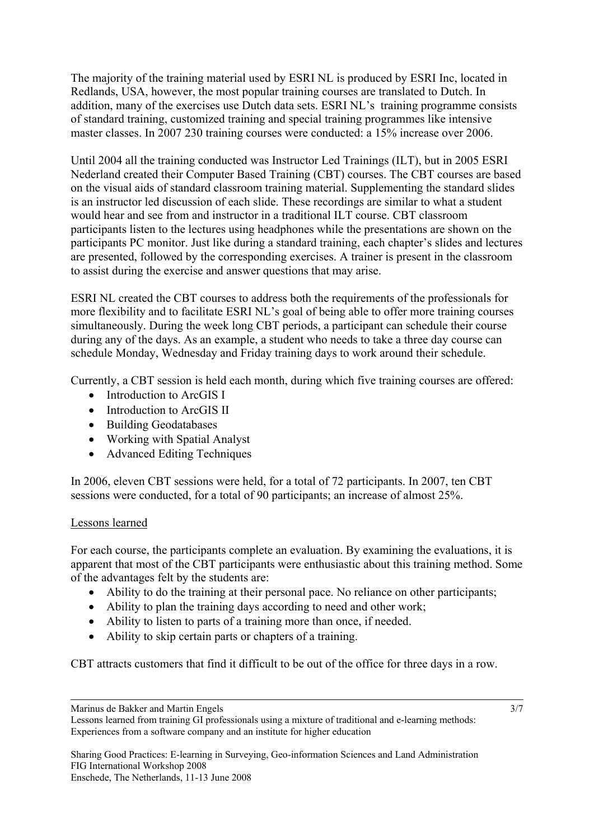The majority of the training material used by ESRI NL is produced by ESRI Inc, located in Redlands, USA, however, the most popular training courses are translated to Dutch. In addition, many of the exercises use Dutch data sets. ESRI NL's training programme consists of standard training, customized training and special training programmes like intensive master classes. In 2007 230 training courses were conducted: a 15% increase over 2006.

Until 2004 all the training conducted was Instructor Led Trainings (ILT), but in 2005 ESRI Nederland created their Computer Based Training (CBT) courses. The CBT courses are based on the visual aids of standard classroom training material. Supplementing the standard slides is an instructor led discussion of each slide. These recordings are similar to what a student would hear and see from and instructor in a traditional ILT course. CBT classroom participants listen to the lectures using headphones while the presentations are shown on the participants PC monitor. Just like during a standard training, each chapter's slides and lectures are presented, followed by the corresponding exercises. A trainer is present in the classroom to assist during the exercise and answer questions that may arise.

ESRI NL created the CBT courses to address both the requirements of the professionals for more flexibility and to facilitate ESRI NL's goal of being able to offer more training courses simultaneously. During the week long CBT periods, a participant can schedule their course during any of the days. As an example, a student who needs to take a three day course can schedule Monday, Wednesday and Friday training days to work around their schedule.

Currently, a CBT session is held each month, during which five training courses are offered:

- Introduction to ArcGIS I
- Introduction to ArcGIS II
- Building Geodatabases
- Working with Spatial Analyst
- Advanced Editing Techniques

In 2006, eleven CBT sessions were held, for a total of 72 participants. In 2007, ten CBT sessions were conducted, for a total of 90 participants; an increase of almost 25%.

# Lessons learned

For each course, the participants complete an evaluation. By examining the evaluations, it is apparent that most of the CBT participants were enthusiastic about this training method. Some of the advantages felt by the students are:

- Ability to do the training at their personal pace. No reliance on other participants;
- Ability to plan the training days according to need and other work;
- Ability to listen to parts of a training more than once, if needed.
- Ability to skip certain parts or chapters of a training.

CBT attracts customers that find it difficult to be out of the office for three days in a row.

Marinus de Bakker and Martin Engels

Lessons learned from training GI professionals using a mixture of traditional and e-learning methods: Experiences from a software company and an institute for higher education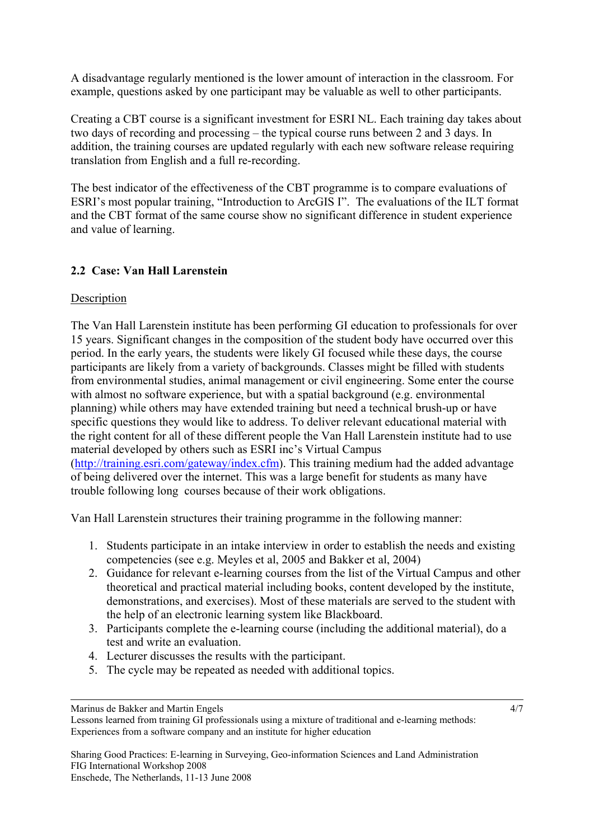A disadvantage regularly mentioned is the lower amount of interaction in the classroom. For example, questions asked by one participant may be valuable as well to other participants.

Creating a CBT course is a significant investment for ESRI NL. Each training day takes about two days of recording and processing – the typical course runs between 2 and 3 days. In addition, the training courses are updated regularly with each new software release requiring translation from English and a full re-recording.

The best indicator of the effectiveness of the CBT programme is to compare evaluations of ESRI's most popular training, "Introduction to ArcGIS I". The evaluations of the ILT format and the CBT format of the same course show no significant difference in student experience and value of learning.

### **2.2 Case: Van Hall Larenstein**

#### **Description**

The Van Hall Larenstein institute has been performing GI education to professionals for over 15 years. Significant changes in the composition of the student body have occurred over this period. In the early years, the students were likely GI focused while these days, the course participants are likely from a variety of backgrounds. Classes might be filled with students from environmental studies, animal management or civil engineering. Some enter the course with almost no software experience, but with a spatial background (e.g. environmental planning) while others may have extended training but need a technical brush-up or have specific questions they would like to address. To deliver relevant educational material with the right content for all of these different people the Van Hall Larenstein institute had to use material developed by others such as ESRI inc's Virtual Campus ([http://training.esri.com/gateway/index.cfm\)](http://training.esri.com/gateway/index.cfm). This training medium had the added advantage of being delivered over the internet. This was a large benefit for students as many have trouble following long courses because of their work obligations.

Van Hall Larenstein structures their training programme in the following manner:

- 1. Students participate in an intake interview in order to establish the needs and existing competencies (see e.g. Meyles et al, 2005 and Bakker et al, 2004)
- 2. Guidance for relevant e-learning courses from the list of the Virtual Campus and other theoretical and practical material including books, content developed by the institute, demonstrations, and exercises). Most of these materials are served to the student with the help of an electronic learning system like Blackboard.
- 3. Participants complete the e-learning course (including the additional material), do a test and write an evaluation.

4/7

- 4. Lecturer discusses the results with the participant.
- 5. The cycle may be repeated as needed with additional topics.

Marinus de Bakker and Martin Engels

Lessons learned from training GI professionals using a mixture of traditional and e-learning methods: Experiences from a software company and an institute for higher education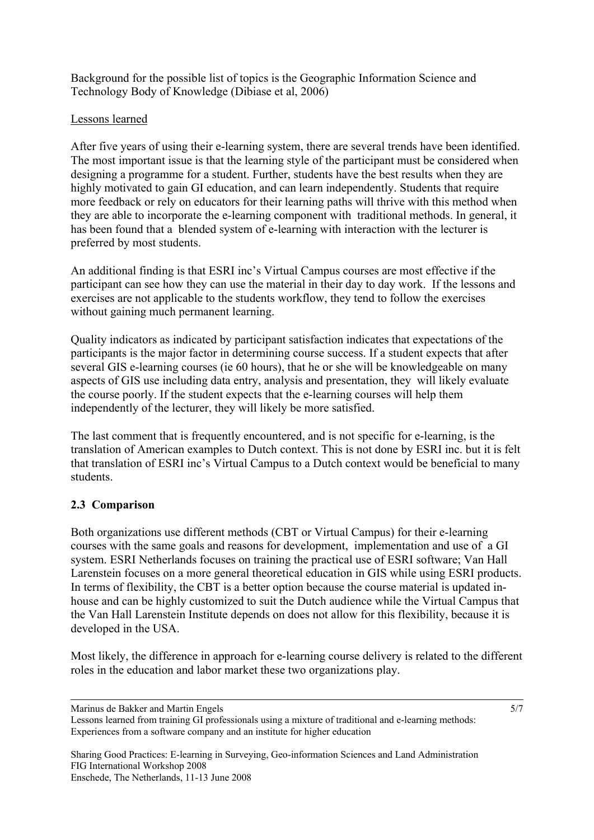Background for the possible list of topics is the Geographic Information Science and Technology Body of Knowledge (Dibiase et al, 2006)

## Lessons learned

After five years of using their e-learning system, there are several trends have been identified. The most important issue is that the learning style of the participant must be considered when designing a programme for a student. Further, students have the best results when they are highly motivated to gain GI education, and can learn independently. Students that require more feedback or rely on educators for their learning paths will thrive with this method when they are able to incorporate the e-learning component with traditional methods. In general, it has been found that a blended system of e-learning with interaction with the lecturer is preferred by most students.

An additional finding is that ESRI inc's Virtual Campus courses are most effective if the participant can see how they can use the material in their day to day work. If the lessons and exercises are not applicable to the students workflow, they tend to follow the exercises without gaining much permanent learning.

Quality indicators as indicated by participant satisfaction indicates that expectations of the participants is the major factor in determining course success. If a student expects that after several GIS e-learning courses (ie 60 hours), that he or she will be knowledgeable on many aspects of GIS use including data entry, analysis and presentation, they will likely evaluate the course poorly. If the student expects that the e-learning courses will help them independently of the lecturer, they will likely be more satisfied.

The last comment that is frequently encountered, and is not specific for e-learning, is the translation of American examples to Dutch context. This is not done by ESRI inc. but it is felt that translation of ESRI inc's Virtual Campus to a Dutch context would be beneficial to many students.

# **2.3 Comparison**

Both organizations use different methods (CBT or Virtual Campus) for their e-learning courses with the same goals and reasons for development, implementation and use of a GI system. ESRI Netherlands focuses on training the practical use of ESRI software; Van Hall Larenstein focuses on a more general theoretical education in GIS while using ESRI products. In terms of flexibility, the CBT is a better option because the course material is updated inhouse and can be highly customized to suit the Dutch audience while the Virtual Campus that the Van Hall Larenstein Institute depends on does not allow for this flexibility, because it is developed in the USA.

Most likely, the difference in approach for e-learning course delivery is related to the different roles in the education and labor market these two organizations play.

Marinus de Bakker and Martin Engels

Sharing Good Practices: E-learning in Surveying, Geo-information Sciences and Land Administration FIG International Workshop 2008 Enschede, The Netherlands, 11-13 June 2008

5/7

Lessons learned from training GI professionals using a mixture of traditional and e-learning methods: Experiences from a software company and an institute for higher education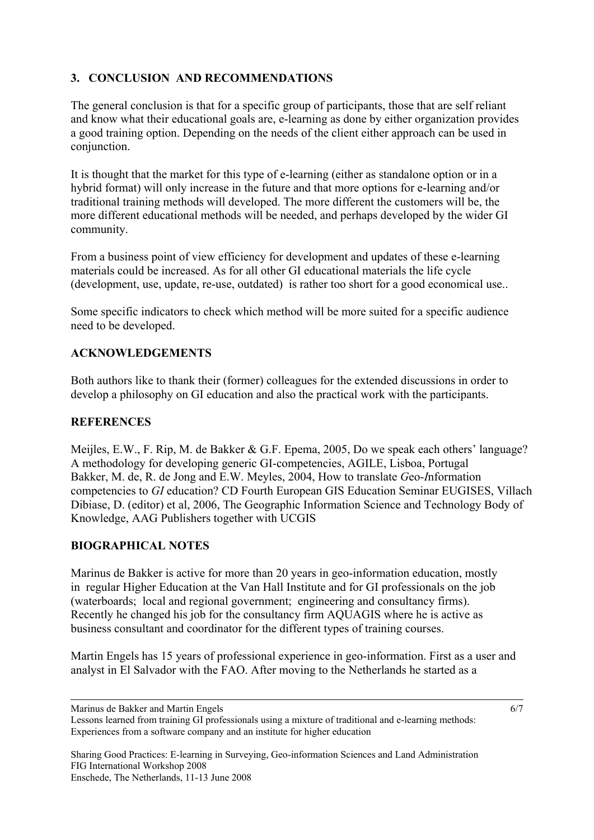# **3. CONCLUSION AND RECOMMENDATIONS**

The general conclusion is that for a specific group of participants, those that are self reliant and know what their educational goals are, e-learning as done by either organization provides a good training option. Depending on the needs of the client either approach can be used in conjunction.

It is thought that the market for this type of e-learning (either as standalone option or in a hybrid format) will only increase in the future and that more options for e-learning and/or traditional training methods will developed. The more different the customers will be, the more different educational methods will be needed, and perhaps developed by the wider GI community.

From a business point of view efficiency for development and updates of these e-learning materials could be increased. As for all other GI educational materials the life cycle (development, use, update, re-use, outdated) is rather too short for a good economical use..

Some specific indicators to check which method will be more suited for a specific audience need to be developed.

### **ACKNOWLEDGEMENTS**

Both authors like to thank their (former) colleagues for the extended discussions in order to develop a philosophy on GI education and also the practical work with the participants.

#### **REFERENCES**

Meijles, E.W., F. Rip, M. de Bakker & G.F. Epema, 2005, Do we speak each others' language? A methodology for developing generic GI-competencies, AGILE, Lisboa, Portugal Bakker, M. de, R. de Jong and E.W. Meyles, 2004, How to translate *G*eo-*I*nformation competencies to *GI* education? CD Fourth European GIS Education Seminar EUGISES, Villach Dibiase, D. (editor) et al, 2006, The Geographic Information Science and Technology Body of Knowledge, AAG Publishers together with UCGIS

# **BIOGRAPHICAL NOTES**

Marinus de Bakker is active for more than 20 years in geo-information education, mostly in regular Higher Education at the Van Hall Institute and for GI professionals on the job (waterboards; local and regional government; engineering and consultancy firms). Recently he changed his job for the consultancy firm AQUAGIS where he is active as business consultant and coordinator for the different types of training courses.

Martin Engels has 15 years of professional experience in geo-information. First as a user and analyst in El Salvador with the FAO. After moving to the Netherlands he started as a

Marinus de Bakker and Martin Engels

Lessons learned from training GI professionals using a mixture of traditional and e-learning methods: Experiences from a software company and an institute for higher education